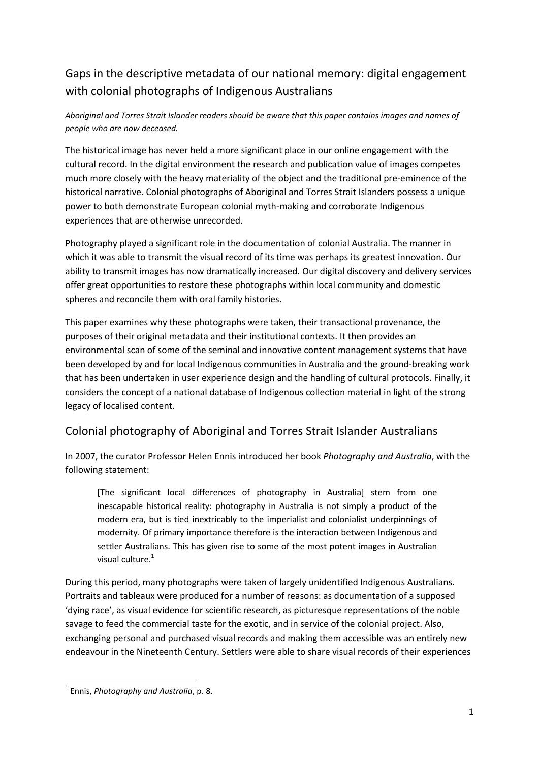## Gaps in the descriptive metadata of our national memory: digital engagement with colonial photographs of Indigenous Australians

#### *Aboriginal and Torres Strait Islander readers should be aware that this paper contains images and names of people who are now deceased.*

The historical image has never held a more significant place in our online engagement with the cultural record. In the digital environment the research and publication value of images competes much more closely with the heavy materiality of the object and the traditional pre-eminence of the historical narrative. Colonial photographs of Aboriginal and Torres Strait Islanders possess a unique power to both demonstrate European colonial myth-making and corroborate Indigenous experiences that are otherwise unrecorded.

Photography played a significant role in the documentation of colonial Australia. The manner in which it was able to transmit the visual record of its time was perhaps its greatest innovation. Our ability to transmit images has now dramatically increased. Our digital discovery and delivery services offer great opportunities to restore these photographs within local community and domestic spheres and reconcile them with oral family histories.

This paper examines why these photographs were taken, their transactional provenance, the purposes of their original metadata and their institutional contexts. It then provides an environmental scan of some of the seminal and innovative content management systems that have been developed by and for local Indigenous communities in Australia and the ground-breaking work that has been undertaken in user experience design and the handling of cultural protocols. Finally, it considers the concept of a national database of Indigenous collection material in light of the strong legacy of localised content.

### Colonial photography of Aboriginal and Torres Strait Islander Australians

In 2007, the curator Professor Helen Ennis introduced her book *Photography and Australia*, with the following statement:

[The significant local differences of photography in Australia] stem from one inescapable historical reality: photography in Australia is not simply a product of the modern era, but is tied inextricably to the imperialist and colonialist underpinnings of modernity. Of primary importance therefore is the interaction between Indigenous and settler Australians. This has given rise to some of the most potent images in Australian visual culture. $1$ 

During this period, many photographs were taken of largely unidentified Indigenous Australians. Portraits and tableaux were produced for a number of reasons: as documentation of a supposed 'dying race', as visual evidence for scientific research, as picturesque representations of the noble savage to feed the commercial taste for the exotic, and in service of the colonial project. Also, exchanging personal and purchased visual records and making them accessible was an entirely new endeavour in the Nineteenth Century. Settlers were able to share visual records of their experiences

**<sup>.</sup>** 1 Ennis, *Photography and Australia*, p. 8.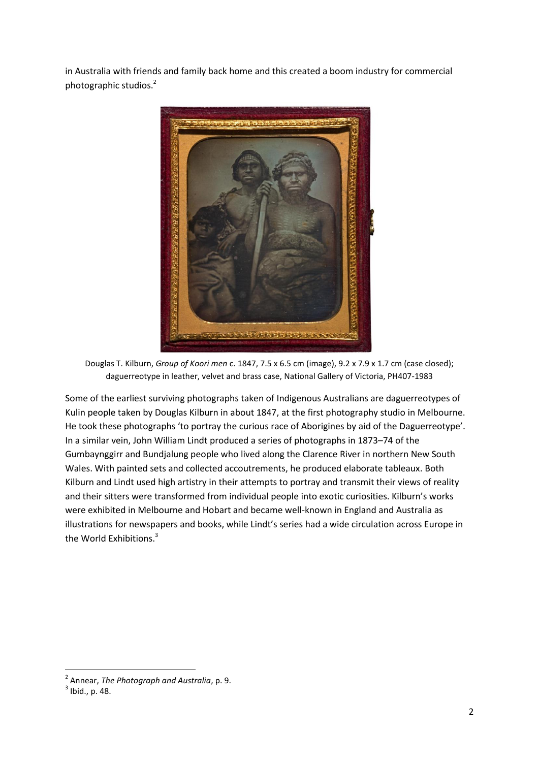in Australia with friends and family back home and this created a boom industry for commercial photographic studios.<sup>2</sup>



Douglas T. Kilburn, *Group of Koori men* c. 1847, 7.5 x 6.5 cm (image), 9.2 x 7.9 x 1.7 cm (case closed); daguerreotype in leather, velvet and brass case, National Gallery of Victoria, PH407-1983

Some of the earliest surviving photographs taken of Indigenous Australians are daguerreotypes of Kulin people taken by Douglas Kilburn in about 1847, at the first photography studio in Melbourne. He took these photographs 'to portray the curious race of Aborigines by aid of the Daguerreotype'. In a similar vein, John William Lindt produced a series of photographs in 1873–74 of the Gumbaynggirr and Bundjalung people who lived along the Clarence River in northern New South Wales. With painted sets and collected accoutrements, he produced elaborate tableaux. Both Kilburn and Lindt used high artistry in their attempts to portray and transmit their views of reality and their sitters were transformed from individual people into exotic curiosities. Kilburn's works were exhibited in Melbourne and Hobart and became well-known in England and Australia as illustrations for newspapers and books, while Lindt's series had a wide circulation across Europe in the World Exhibitions.<sup>3</sup>

<sup>2</sup> Annear, *The Photograph and Australia*, p. 9.

 $3$  Ibid., p. 48.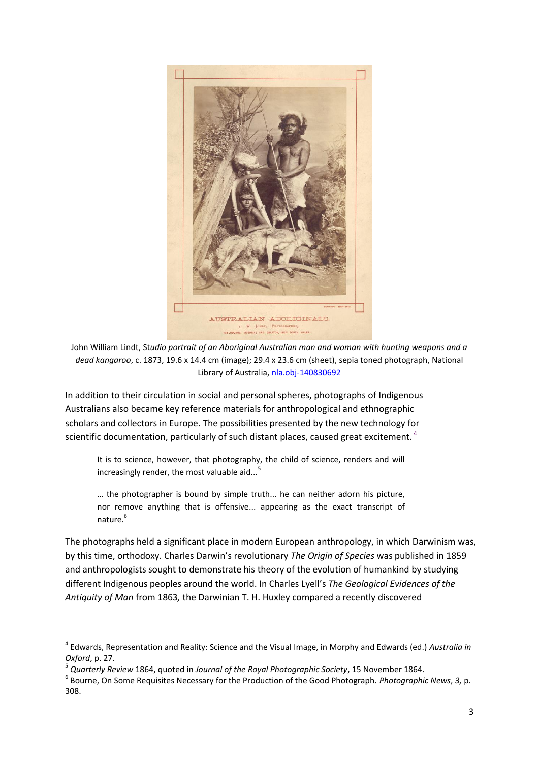

John William Lindt, St*udio portrait of an Aboriginal Australian man and woman with hunting weapons and a dead kangaroo*, c. 1873, 19.6 x 14.4 cm (image); 29.4 x 23.6 cm (sheet), sepia toned photograph, National Library of Australia, [nla.obj-140830692](http://nla.gov.au/nla.obj-140830692)

In addition to their circulation in social and personal spheres, photographs of Indigenous Australians also became key reference materials for anthropological and ethnographic scholars and collectors in Europe. The possibilities presented by the new technology for scientific documentation, particularly of such distant places, caused great excitement.<sup>4</sup>

It is to science, however, that photography, the child of science, renders and will increasingly render, the most valuable aid... $<sup>5</sup>$ </sup>

… the photographer is bound by simple truth... he can neither adorn his picture, nor remove anything that is offensive... appearing as the exact transcript of nature. 6

The photographs held a significant place in modern European anthropology, in which Darwinism was, by this time, orthodoxy. Charles Darwin's revolutionary *The Origin of Species* was published in 1859 and anthropologists sought to demonstrate his theory of the evolution of humankind by studying different Indigenous peoples around the world. In Charles Lyell's *The Geological Evidences of the Antiquity of Man* from 1863*,* the Darwinian T. H. Huxley compared a recently discovered

 $\overline{\phantom{a}}$ 

<sup>4</sup> Edwards, Representation and Reality: Science and the Visual Image, in Morphy and Edwards (ed.) *Australia in Oxford*, p. 27.

<sup>5</sup> *Quarterly Review* 1864, quoted in *Journal of the Royal Photographic Society*, 15 November 1864.

<sup>6</sup> Bourne, On Some Requisites Necessary for the Production of the Good Photograph. *Photographic News*, *3,* p. 308.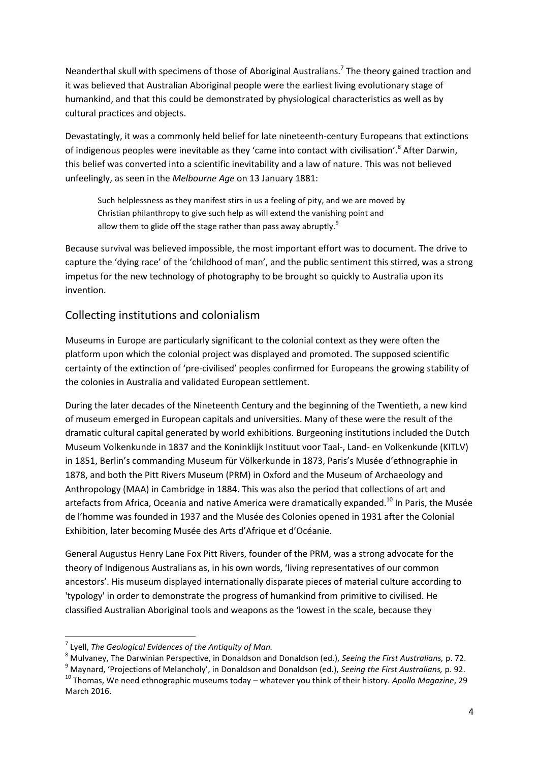Neanderthal skull with specimens of those of Aboriginal Australians.<sup>7</sup> The theory gained traction and it was believed that Australian Aboriginal people were the earliest living evolutionary stage of humankind, and that this could be demonstrated by physiological characteristics as well as by cultural practices and objects.

Devastatingly, it was a commonly held belief for late nineteenth-century Europeans that extinctions of indigenous peoples were inevitable as they 'came into contact with civilisation'.<sup>8</sup> After Darwin, this belief was converted into a scientific inevitability and a law of nature. This was not believed unfeelingly, as seen in the *Melbourne Age* on 13 January 1881:

Such helplessness as they manifest stirs in us a feeling of pity, and we are moved by Christian philanthropy to give such help as will extend the vanishing point and allow them to glide off the stage rather than pass away abruptly.<sup>9</sup>

Because survival was believed impossible, the most important effort was to document. The drive to capture the 'dying race' of the 'childhood of man', and the public sentiment this stirred, was a strong impetus for the new technology of photography to be brought so quickly to Australia upon its invention.

#### Collecting institutions and colonialism

Museums in Europe are particularly significant to the colonial context as they were often the platform upon which the colonial project was displayed and promoted. The supposed scientific certainty of the extinction of 'pre-civilised' peoples confirmed for Europeans the growing stability of the colonies in Australia and validated European settlement.

During the later decades of the Nineteenth Century and the beginning of the Twentieth, a new kind of museum emerged in European capitals and universities. Many of these were the result of the dramatic cultural capital generated by world exhibitions. Burgeoning institutions included the Dutch Museum Volkenkunde in 1837 and the Koninklijk Instituut voor Taal-, Land- en Volkenkunde (KITLV) in 1851, Berlin's commanding Museum für Völkerkunde in 1873, Paris's Musée d'ethnographie in 1878, and both the Pitt Rivers Museum (PRM) in Oxford and the Museum of Archaeology and Anthropology (MAA) in Cambridge in 1884. This was also the period that collections of art and artefacts from Africa, Oceania and native America were dramatically expanded.<sup>10</sup> In Paris, the Musée de l'homme was founded in 1937 and the Musée des Colonies opened in 1931 after the Colonial Exhibition, later becoming Musée des Arts d'Afrique et d'Océanie.

General Augustus Henry Lane Fox Pitt Rivers, founder of the PRM, was a strong advocate for the theory of Indigenous Australians as, in his own words, 'living representatives of our common ancestors'. His museum displayed internationally disparate pieces of material culture according to 'typology' in order to demonstrate the progress of humankind from primitive to civilised. He classified Australian Aboriginal tools and weapons as the 'lowest in the scale, because they

 $\overline{\phantom{a}}$ 

<sup>7</sup> Lyell, *The Geological Evidences of the Antiquity of Man.*

<sup>8</sup> Mulvaney, The Darwinian Perspective, in Donaldson and Donaldson (ed.), *Seeing the First Australians,* p. 72.

<sup>9</sup> Maynard, 'Projections of Melancholy', in Donaldson and Donaldson (ed.), *Seeing the First Australians,* p. 92. <sup>10</sup> Thomas, We need ethnographic museums today – whatever you think of their history. *Apollo Magazine*, 29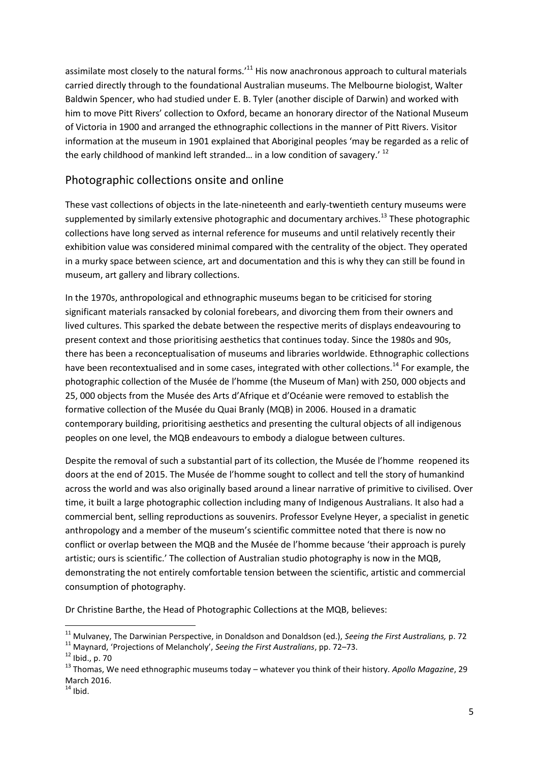assimilate most closely to the natural forms.<sup>11</sup> His now anachronous approach to cultural materials carried directly through to the foundational Australian museums. The Melbourne biologist, Walter Baldwin Spencer, who had studied under E. B. Tyler (another disciple of Darwin) and worked with him to move Pitt Rivers' collection to Oxford, became an honorary director of the National Museum of Victoria in 1900 and arranged the ethnographic collections in the manner of Pitt Rivers. Visitor information at the museum in 1901 explained that Aboriginal peoples 'may be regarded as a relic of the early childhood of mankind left stranded... in a low condition of savagery.'  $^{12}$ 

#### Photographic collections onsite and online

These vast collections of objects in the late-nineteenth and early-twentieth century museums were supplemented by similarly extensive photographic and documentary archives.<sup>13</sup> These photographic collections have long served as internal reference for museums and until relatively recently their exhibition value was considered minimal compared with the centrality of the object. They operated in a murky space between science, art and documentation and this is why they can still be found in museum, art gallery and library collections.

In the 1970s, anthropological and ethnographic museums began to be criticised for storing significant materials ransacked by colonial forebears, and divorcing them from their owners and lived cultures. This sparked the debate between the respective merits of displays endeavouring to present context and those prioritising aesthetics that continues today. Since the 1980s and 90s, there has been a reconceptualisation of museums and libraries worldwide. Ethnographic collections have been recontextualised and in some cases, integrated with other collections.<sup>14</sup> For example, the photographic collection of the Musée de l'homme (the Museum of Man) with 250, 000 objects and 25, 000 objects from the Musée des Arts d'Afrique et d'Océanie were removed to establish the formative collection of the Musée du Quai Branly (MQB) in 2006. Housed in a dramatic contemporary building, prioritising aesthetics and presenting the cultural objects of all indigenous peoples on one level, the MQB endeavours to embody a dialogue between cultures.

Despite the removal of such a substantial part of its collection, the Musée de l'homme reopened its doors at the end of 2015. The Musée de l'homme sought to collect and tell the story of humankind across the world and was also originally based around a linear narrative of primitive to civilised. Over time, it built a large photographic collection including many of Indigenous Australians. It also had a commercial bent, selling reproductions as souvenirs. Professor Evelyne Heyer, a specialist in genetic anthropology and a member of the museum's scientific committee noted that there is now no conflict or overlap between the MQB and the Musée de l'homme because 'their approach is purely artistic; ours is scientific.' The collection of Australian studio photography is now in the MQB, demonstrating the not entirely comfortable tension between the scientific, artistic and commercial consumption of photography.

Dr Christine Barthe, the Head of Photographic Collections at the MQB, believes:

<sup>11</sup> Mulvaney, The Darwinian Perspective, in Donaldson and Donaldson (ed.), *Seeing the First Australians,* p. 72

<sup>11</sup> Maynard, 'Projections of Melancholy', *Seeing the First Australians*, pp. 72–73.

<sup>12</sup> Ibid., p. 70

<sup>13</sup> Thomas, We need ethnographic museums today – whatever you think of their history. *Apollo Magazine*, 29 March 2016.

 $14$  Ibid.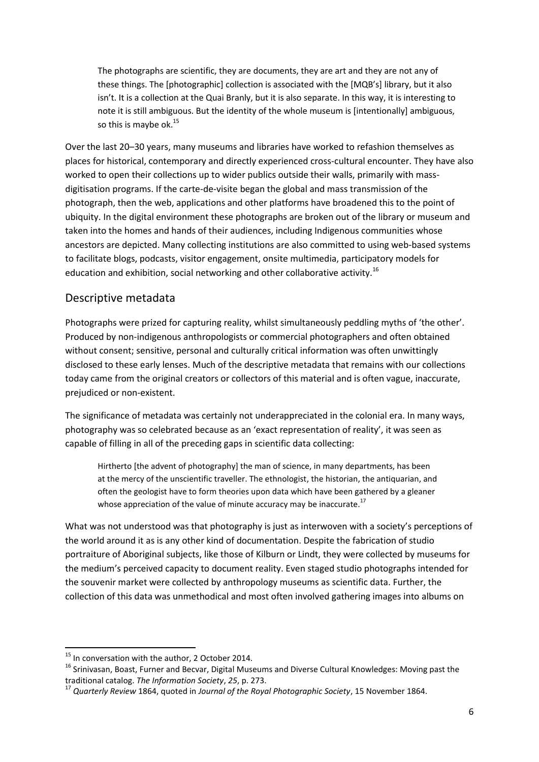The photographs are scientific, they are documents, they are art and they are not any of these things. The [photographic] collection is associated with the [MQB's] library, but it also isn't. It is a collection at the Quai Branly, but it is also separate. In this way, it is interesting to note it is still ambiguous. But the identity of the whole museum is [intentionally] ambiguous, so this is maybe ok. $15$ 

Over the last 20–30 years, many museums and libraries have worked to refashion themselves as places for historical, contemporary and directly experienced cross-cultural encounter. They have also worked to open their collections up to wider publics outside their walls, primarily with massdigitisation programs. If the carte-de-visite began the global and mass transmission of the photograph, then the web, applications and other platforms have broadened this to the point of ubiquity. In the digital environment these photographs are broken out of the library or museum and taken into the homes and hands of their audiences, including Indigenous communities whose ancestors are depicted. Many collecting institutions are also committed to using web-based systems to facilitate blogs, podcasts, visitor engagement, onsite multimedia, participatory models for education and exhibition, social networking and other collaborative activity.<sup>16</sup>

#### Descriptive metadata

Photographs were prized for capturing reality, whilst simultaneously peddling myths of 'the other'. Produced by non-indigenous anthropologists or commercial photographers and often obtained without consent; sensitive, personal and culturally critical information was often unwittingly disclosed to these early lenses. Much of the descriptive metadata that remains with our collections today came from the original creators or collectors of this material and is often vague, inaccurate, prejudiced or non-existent.

The significance of metadata was certainly not underappreciated in the colonial era. In many ways, photography was so celebrated because as an 'exact representation of reality', it was seen as capable of filling in all of the preceding gaps in scientific data collecting:

Hirtherto [the advent of photography] the man of science, in many departments, has been at the mercy of the unscientific traveller. The ethnologist, the historian, the antiquarian, and often the geologist have to form theories upon data which have been gathered by a gleaner whose appreciation of the value of minute accuracy may be inaccurate. $17$ 

What was not understood was that photography is just as interwoven with a society's perceptions of the world around it as is any other kind of documentation. Despite the fabrication of studio portraiture of Aboriginal subjects, like those of Kilburn or Lindt, they were collected by museums for the medium's perceived capacity to document reality. Even staged studio photographs intended for the souvenir market were collected by anthropology museums as scientific data. Further, the collection of this data was unmethodical and most often involved gathering images into albums on

 $15$  In conversation with the author, 2 October 2014.

<sup>&</sup>lt;sup>16</sup> Srinivasan, Boast, Furner and Becvar, Digital Museums and Diverse Cultural Knowledges: Moving past the traditional catalog. *The Information Society*, *25*, p. 273.

<sup>17</sup> *Quarterly Review* 1864, quoted in *Journal of the Royal Photographic Society*, 15 November 1864.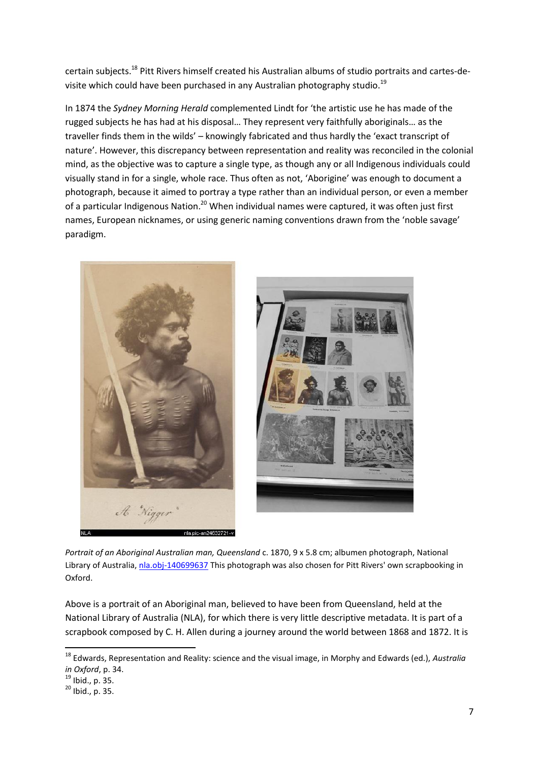certain subjects.<sup>18</sup> Pitt Rivers himself created his Australian albums of studio portraits and cartes-devisite which could have been purchased in any Australian photography studio.<sup>19</sup>

In 1874 the *Sydney Morning Herald* complemented Lindt for 'the artistic use he has made of the rugged subjects he has had at his disposal… They represent very faithfully aboriginals… as the traveller finds them in the wilds' – knowingly fabricated and thus hardly the 'exact transcript of nature'. However, this discrepancy between representation and reality was reconciled in the colonial mind, as the objective was to capture a single type, as though any or all Indigenous individuals could visually stand in for a single, whole race. Thus often as not, 'Aborigine' was enough to document a photograph, because it aimed to portray a type rather than an individual person, or even a member of a particular Indigenous Nation.<sup>20</sup> When individual names were captured, it was often just first names, European nicknames, or using generic naming conventions drawn from the 'noble savage' paradigm.



*Portrait of an Aboriginal Australian man, Queensland* c. 1870, 9 x 5.8 cm; albumen photograph, National Library of Australia, [nla.obj-140699637](http://nla.gov.au/nla.obj-140699637) This photograph was also chosen for Pitt Rivers' own scrapbooking in Oxford.

Above is a portrait of an Aboriginal man, believed to have been from Queensland, held at the National Library of Australia (NLA), for which there is very little descriptive metadata. It is part of a scrapbook composed by C. H. Allen during a journey around the world between 1868 and 1872. It is

<sup>18</sup> Edwards, Representation and Reality: science and the visual image, in Morphy and Edwards (ed.), *Australia in Oxford*, p. 34.

 $19$  Ibid., p. 35.

 $20$  Ibid., p. 35.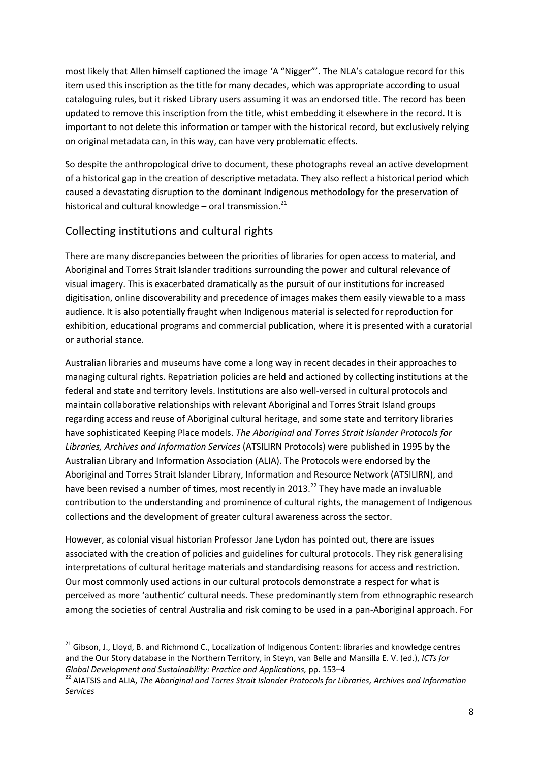most likely that Allen himself captioned the image 'A "Nigger"'. The NLA's catalogue record for this item used this inscription as the title for many decades, which was appropriate according to usual cataloguing rules, but it risked Library users assuming it was an endorsed title. The record has been updated to remove this inscription from the title, whist embedding it elsewhere in the record. It is important to not delete this information or tamper with the historical record, but exclusively relying on original metadata can, in this way, can have very problematic effects.

So despite the anthropological drive to document, these photographs reveal an active development of a historical gap in the creation of descriptive metadata. They also reflect a historical period which caused a devastating disruption to the dominant Indigenous methodology for the preservation of historical and cultural knowledge – oral transmission. $^{21}$ 

### Collecting institutions and cultural rights

 $\overline{a}$ 

There are many discrepancies between the priorities of libraries for open access to material, and Aboriginal and Torres Strait Islander traditions surrounding the power and cultural relevance of visual imagery. This is exacerbated dramatically as the pursuit of our institutions for increased digitisation, online discoverability and precedence of images makes them easily viewable to a mass audience. It is also potentially fraught when Indigenous material is selected for reproduction for exhibition, educational programs and commercial publication, where it is presented with a curatorial or authorial stance.

Australian libraries and museums have come a long way in recent decades in their approaches to managing cultural rights. Repatriation policies are held and actioned by collecting institutions at the federal and state and territory levels. Institutions are also well-versed in cultural protocols and maintain collaborative relationships with relevant Aboriginal and Torres Strait Island groups regarding access and reuse of Aboriginal cultural heritage, and some state and territory libraries have sophisticated Keeping Place models. *The Aboriginal and Torres Strait Islander Protocols for Libraries, Archives and Information Services* (ATSILIRN Protocols) were published in 1995 by the Australian Library and Information Association (ALIA). The Protocols were endorsed by the Aboriginal and Torres Strait Islander Library, Information and Resource Network (ATSILIRN), and have been revised a number of times, most recently in 2013.<sup>22</sup> They have made an invaluable contribution to the understanding and prominence of cultural rights, the management of Indigenous collections and the development of greater cultural awareness across the sector.

However, as colonial visual historian Professor Jane Lydon has pointed out, there are issues associated with the creation of policies and guidelines for cultural protocols. They risk generalising interpretations of cultural heritage materials and standardising reasons for access and restriction. Our most commonly used actions in our cultural protocols demonstrate a respect for what is perceived as more 'authentic' cultural needs. These predominantly stem from ethnographic research among the societies of central Australia and risk coming to be used in a pan-Aboriginal approach. For

<sup>&</sup>lt;sup>21</sup> Gibson, J., Lloyd, B. and Richmond C., Localization of Indigenous Content: libraries and knowledge centres and the Our Story database in the Northern Territory, in Steyn, van Belle and Mansilla E. V. (ed.), *ICTs for Global Development and Sustainability: Practice and Applications,* pp. 153–4

<sup>&</sup>lt;sup>22</sup> AIATSIS and ALIA, *The Aboriginal and Torres Strait Islander Protocols for Libraries, Archives and Information Services*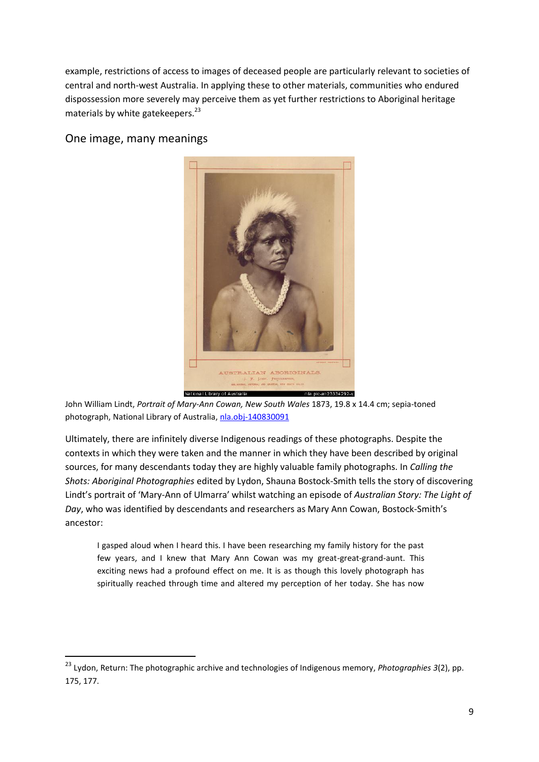example, restrictions of access to images of deceased people are particularly relevant to societies of central and north-west Australia. In applying these to other materials, communities who endured dispossession more severely may perceive them as yet further restrictions to Aboriginal heritage materials by white gatekeepers.<sup>23</sup>

One image, many meanings

1



John William Lindt, *Portrait of Mary-Ann Cowan, New South Wales* 1873, 19.8 x 14.4 cm; sepia-toned photograph, National Library of Australia, [nla.obj-140830091](http://nla.gov.au/nla.obj-140830091)

Ultimately, there are infinitely diverse Indigenous readings of these photographs. Despite the contexts in which they were taken and the manner in which they have been described by original sources, for many descendants today they are highly valuable family photographs. In *Calling the Shots: Aboriginal Photographies* edited by Lydon, Shauna Bostock-Smith tells the story of discovering Lindt's portrait of 'Mary-Ann of Ulmarra' whilst watching an episode of *Australian Story: The Light of Day*, who was identified by descendants and researchers as Mary Ann Cowan, Bostock-Smith's ancestor:

I gasped aloud when I heard this. I have been researching my family history for the past few years, and I knew that Mary Ann Cowan was my great-great-grand-aunt. This exciting news had a profound effect on me. It is as though this lovely photograph has spiritually reached through time and altered my perception of her today. She has now

<sup>23</sup> Lydon, Return: The photographic archive and technologies of Indigenous memory, *Photographies 3*(2), pp. 175, 177.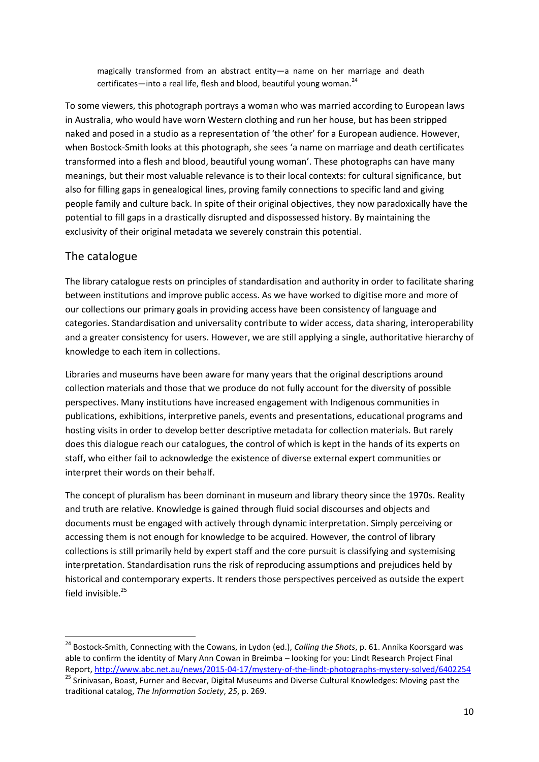magically transformed from an abstract entity—a name on her marriage and death certificates—into a real life, flesh and blood, beautiful young woman.<sup>24</sup>

To some viewers, this photograph portrays a woman who was married according to European laws in Australia, who would have worn Western clothing and run her house, but has been stripped naked and posed in a studio as a representation of 'the other' for a European audience. However, when Bostock-Smith looks at this photograph, she sees 'a name on marriage and death certificates transformed into a flesh and blood, beautiful young woman'. These photographs can have many meanings, but their most valuable relevance is to their local contexts: for cultural significance, but also for filling gaps in genealogical lines, proving family connections to specific land and giving people family and culture back. In spite of their original objectives, they now paradoxically have the potential to fill gaps in a drastically disrupted and dispossessed history. By maintaining the exclusivity of their original metadata we severely constrain this potential.

#### The catalogue

 $\overline{a}$ 

The library catalogue rests on principles of standardisation and authority in order to facilitate sharing between institutions and improve public access. As we have worked to digitise more and more of our collections our primary goals in providing access have been consistency of language and categories. Standardisation and universality contribute to wider access, data sharing, interoperability and a greater consistency for users. However, we are still applying a single, authoritative hierarchy of knowledge to each item in collections.

Libraries and museums have been aware for many years that the original descriptions around collection materials and those that we produce do not fully account for the diversity of possible perspectives. Many institutions have increased engagement with Indigenous communities in publications, exhibitions, interpretive panels, events and presentations, educational programs and hosting visits in order to develop better descriptive metadata for collection materials. But rarely does this dialogue reach our catalogues, the control of which is kept in the hands of its experts on staff, who either fail to acknowledge the existence of diverse external expert communities or interpret their words on their behalf.

The concept of pluralism has been dominant in museum and library theory since the 1970s. Reality and truth are relative. Knowledge is gained through fluid social discourses and objects and documents must be engaged with actively through dynamic interpretation. Simply perceiving or accessing them is not enough for knowledge to be acquired. However, the control of library collections is still primarily held by expert staff and the core pursuit is classifying and systemising interpretation. Standardisation runs the risk of reproducing assumptions and prejudices held by historical and contemporary experts. It renders those perspectives perceived as outside the expert field invisible. 25

<sup>24</sup> Bostock-Smith, Connecting with the Cowans, in Lydon (ed.), *Calling the Shots*, p. 61. Annika Koorsgard was able to confirm the identity of Mary Ann Cowan in Breimba – looking for you: Lindt Research Project Final Report[, http://www.abc.net.au/news/2015-04-17/mystery-of-the-lindt-photographs-mystery-solved/6402254](http://www.abc.net.au/news/2015-04-17/mystery-of-the-lindt-photographs-mystery-solved/6402254) <sup>25</sup> Srinivasan, Boast, Furner and Becvar, Digital Museums and Diverse Cultural Knowledges: Moving past the traditional catalog, *The Information Society*, *25*, p. 269.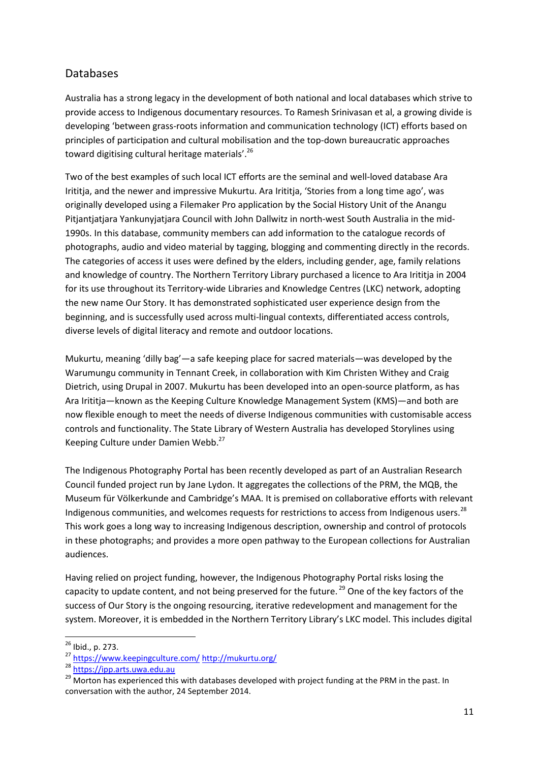#### Databases

Australia has a strong legacy in the development of both national and local databases which strive to provide access to Indigenous documentary resources. To Ramesh Srinivasan et al, a growing divide is developing 'between grass-roots information and communication technology (ICT) efforts based on principles of participation and cultural mobilisation and the top-down bureaucratic approaches toward digitising cultural heritage materials'.<sup>26</sup>

Two of the best examples of such local ICT efforts are the seminal and well-loved database Ara Irititja, and the newer and impressive Mukurtu. Ara Irititja, 'Stories from a long time ago', was originally developed using a Filemaker Pro application by the Social History Unit of the Anangu Pitjantjatjara Yankunyjatjara Council with John Dallwitz in north-west South Australia in the mid-1990s. In this database, community members can add information to the catalogue records of photographs, audio and video material by tagging, blogging and commenting directly in the records. The categories of access it uses were defined by the elders, including gender, age, family relations and knowledge of country. The Northern Territory Library purchased a licence to Ara Irititja in 2004 for its use throughout its Territory-wide Libraries and Knowledge Centres (LKC) network, adopting the new name Our Story. It has demonstrated sophisticated user experience design from the beginning, and is successfully used across multi-lingual contexts, differentiated access controls, diverse levels of digital literacy and remote and outdoor locations.

Mukurtu, meaning 'dilly bag'—a safe keeping place for sacred materials—was developed by the Warumungu community in Tennant Creek, in collaboration with Kim Christen Withey and Craig Dietrich, using Drupal in 2007. Mukurtu has been developed into an open-source platform, as has Ara Irititja—known as the Keeping Culture Knowledge Management System (KMS)—and both are now flexible enough to meet the needs of diverse Indigenous communities with customisable access controls and functionality. The State Library of Western Australia has developed Storylines using Keeping Culture under Damien Webb.<sup>27</sup>

The Indigenous Photography Portal has been recently developed as part of an Australian Research Council funded project run by Jane Lydon. It aggregates the collections of the PRM, the MQB, the Museum für Völkerkunde and Cambridge's MAA. It is premised on collaborative efforts with relevant Indigenous communities, and welcomes requests for restrictions to access from Indigenous users.<sup>28</sup> This work goes a long way to increasing Indigenous description, ownership and control of protocols in these photographs; and provides a more open pathway to the European collections for Australian audiences.

Having relied on project funding, however, the Indigenous Photography Portal risks losing the capacity to update content, and not being preserved for the future.<sup>29</sup> One of the key factors of the success of Our Story is the ongoing resourcing, iterative redevelopment and management for the system. Moreover, it is embedded in the Northern Territory Library's LKC model. This includes digital

 $\overline{a}$ <sup>26</sup> Ibid., p. 273.

<sup>27</sup> <https://www.keepingculture.com/> <http://mukurtu.org/>

<sup>28</sup> [https://ipp.arts.uwa.edu.au](https://ipp.arts.uwa.edu.au/category/stories/)

<sup>&</sup>lt;sup>29</sup> Morton has experienced this with databases developed with project funding at the PRM in the past. In conversation with the author, 24 September 2014.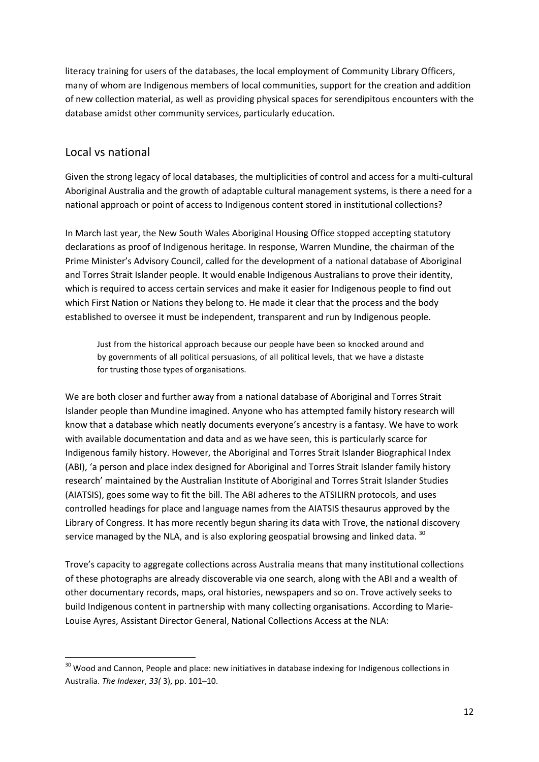literacy training for users of the databases, the local employment of Community Library Officers, many of whom are Indigenous members of local communities, support for the creation and addition of new collection material, as well as providing physical spaces for serendipitous encounters with the database amidst other community services, particularly education.

#### Local vs national

**.** 

Given the strong legacy of local databases, the multiplicities of control and access for a multi-cultural Aboriginal Australia and the growth of adaptable cultural management systems, is there a need for a national approach or point of access to Indigenous content stored in institutional collections?

In March last year, the New South Wales Aboriginal Housing Office stopped accepting statutory declarations as proof of Indigenous heritage. In response, Warren Mundine, the chairman of the Prime Minister's Advisory Council, called for the development of a national database of Aboriginal and Torres Strait Islander people. It would enable Indigenous Australians to prove their identity, which is required to access certain services and make it easier for Indigenous people to find out which First Nation or Nations they belong to. He made it clear that the process and the body established to oversee it must be independent, transparent and run by Indigenous people.

Just from the historical approach because our people have been so knocked around and by governments of all political persuasions, of all political levels, that we have a distaste for trusting those types of organisations.

We are both closer and further away from a national database of Aboriginal and Torres Strait Islander people than Mundine imagined. Anyone who has attempted family history research will know that a database which neatly documents everyone's ancestry is a fantasy. We have to work with available documentation and data and as we have seen, this is particularly scarce for Indigenous family history. However, the Aboriginal and Torres Strait Islander Biographical Index (ABI), 'a person and place index designed for Aboriginal and Torres Strait Islander family history research' maintained by the Australian Institute of Aboriginal and Torres Strait Islander Studies (AIATSIS), goes some way to fit the bill. The ABI adheres to the ATSILIRN protocols, and uses controlled headings for place and language names from the AIATSIS thesaurus approved by the Library of Congress. It has more recently begun sharing its data with Trove, the national discovery service managed by the NLA, and is also exploring geospatial browsing and linked data.  $30$ 

Trove's capacity to aggregate collections across Australia means that many institutional collections of these photographs are already discoverable via one search, along with the ABI and a wealth of other documentary records, maps, oral histories, newspapers and so on. Trove actively seeks to build Indigenous content in partnership with many collecting organisations. According to Marie-Louise Ayres, Assistant Director General, National Collections Access at the NLA:

<sup>&</sup>lt;sup>30</sup> Wood and Cannon, People and place: new initiatives in database indexing for Indigenous collections in Australia. *The Indexer*, *33(* 3), pp. 101–10.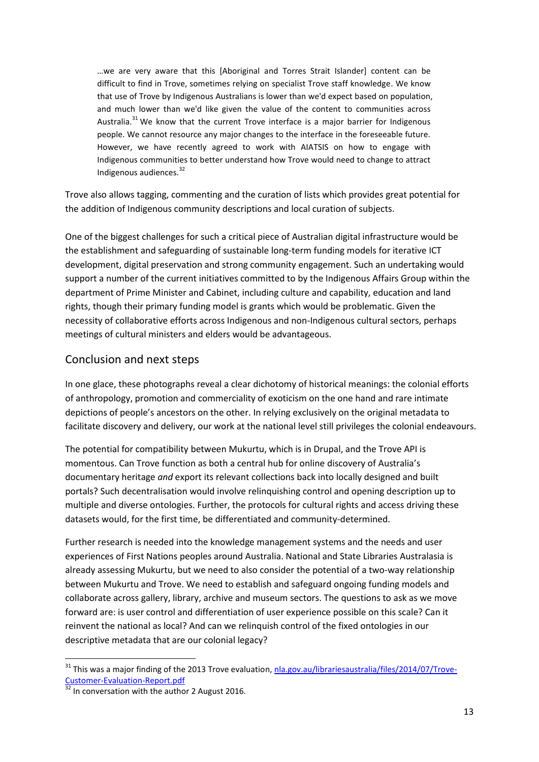…we are very aware that this [Aboriginal and Torres Strait Islander] content can be difficult to find in Trove, sometimes relying on specialist Trove staff knowledge. We know that use of Trove by Indigenous Australians is lower than we'd expect based on population, and much lower than we'd like given the value of the content to communities across Australia.<sup>31</sup> We know that the current Trove interface is a major barrier for Indigenous people. We cannot resource any major changes to the interface in the foreseeable future. However, we have recently agreed to work with AIATSIS on how to engage with Indigenous communities to better understand how Trove would need to change to attract Indigenous audiences.<sup>32</sup>

Trove also allows tagging, commenting and the curation of lists which provides great potential for the addition of Indigenous community descriptions and local curation of subjects.

One of the biggest challenges for such a critical piece of Australian digital infrastructure would be the establishment and safeguarding of sustainable long-term funding models for iterative ICT development, digital preservation and strong community engagement. Such an undertaking would support a number of the current initiatives committed to by the Indigenous Affairs Group within the department of Prime Minister and Cabinet, including culture and capability, education and land rights, though their primary funding model is grants which would be problematic. Given the necessity of collaborative efforts across Indigenous and non-Indigenous cultural sectors, perhaps meetings of cultural ministers and elders would be advantageous.

#### Conclusion and next steps

In one glace, these photographs reveal a clear dichotomy of historical meanings: the colonial efforts of anthropology, promotion and commerciality of exoticism on the one hand and rare intimate depictions of people's ancestors on the other. In relying exclusively on the original metadata to facilitate discovery and delivery, our work at the national level still privileges the colonial endeavours.

The potential for compatibility between Mukurtu, which is in Drupal, and the Trove API is momentous. Can Trove function as both a central hub for online discovery of Australia's documentary heritage *and* export its relevant collections back into locally designed and built portals? Such decentralisation would involve relinquishing control and opening description up to multiple and diverse ontologies. Further, the protocols for cultural rights and access driving these datasets would, for the first time, be differentiated and community-determined.

Further research is needed into the knowledge management systems and the needs and user experiences of First Nations peoples around Australia. National and State Libraries Australasia is already assessing Mukurtu, but we need to also consider the potential of a two-way relationship between Mukurtu and Trove. We need to establish and safeguard ongoing funding models and collaborate across gallery, library, archive and museum sectors. The questions to ask as we move forward are: is user control and differentiation of user experience possible on this scale? Can it reinvent the national as local? And can we relinquish control of the fixed ontologies in our descriptive metadata that are our colonial legacy?

<sup>&</sup>lt;sup>31</sup> This was a major finding of the 2013 Trove evaluation, [nla.gov.au/librariesaustralia/files/2014/07/Trove-](mailto:This%20was%20a%20major%20finding%20of%20the%202013%20Trove%20evaluation.)[Customer-Evaluation-Report.pdf](mailto:This%20was%20a%20major%20finding%20of%20the%202013%20Trove%20evaluation.)

 $\frac{1}{32}$  In conversation with the author 2 August 2016.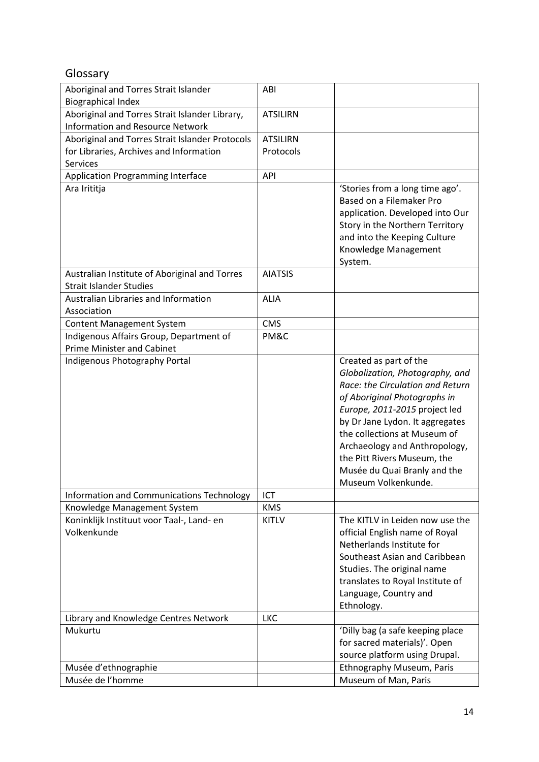# Glossary

| Aboriginal and Torres Strait Islander                                           | ABI             |                                                                                                                                                                                                                                                                                                                                                          |
|---------------------------------------------------------------------------------|-----------------|----------------------------------------------------------------------------------------------------------------------------------------------------------------------------------------------------------------------------------------------------------------------------------------------------------------------------------------------------------|
| <b>Biographical Index</b>                                                       |                 |                                                                                                                                                                                                                                                                                                                                                          |
| Aboriginal and Torres Strait Islander Library,                                  | <b>ATSILIRN</b> |                                                                                                                                                                                                                                                                                                                                                          |
| <b>Information and Resource Network</b>                                         |                 |                                                                                                                                                                                                                                                                                                                                                          |
| Aboriginal and Torres Strait Islander Protocols                                 | <b>ATSILIRN</b> |                                                                                                                                                                                                                                                                                                                                                          |
| for Libraries, Archives and Information                                         | Protocols       |                                                                                                                                                                                                                                                                                                                                                          |
| Services                                                                        |                 |                                                                                                                                                                                                                                                                                                                                                          |
| <b>Application Programming Interface</b>                                        | API             |                                                                                                                                                                                                                                                                                                                                                          |
| Ara Irititja                                                                    |                 | 'Stories from a long time ago'.<br>Based on a Filemaker Pro<br>application. Developed into Our<br>Story in the Northern Territory                                                                                                                                                                                                                        |
|                                                                                 |                 | and into the Keeping Culture<br>Knowledge Management<br>System.                                                                                                                                                                                                                                                                                          |
| Australian Institute of Aboriginal and Torres<br><b>Strait Islander Studies</b> | <b>AIATSIS</b>  |                                                                                                                                                                                                                                                                                                                                                          |
| Australian Libraries and Information<br>Association                             | <b>ALIA</b>     |                                                                                                                                                                                                                                                                                                                                                          |
| <b>Content Management System</b>                                                | <b>CMS</b>      |                                                                                                                                                                                                                                                                                                                                                          |
| Indigenous Affairs Group, Department of<br><b>Prime Minister and Cabinet</b>    | PM&C            |                                                                                                                                                                                                                                                                                                                                                          |
| Indigenous Photography Portal                                                   |                 | Created as part of the<br>Globalization, Photography, and<br>Race: the Circulation and Return<br>of Aboriginal Photographs in<br>Europe, 2011-2015 project led<br>by Dr Jane Lydon. It aggregates<br>the collections at Museum of<br>Archaeology and Anthropology,<br>the Pitt Rivers Museum, the<br>Musée du Quai Branly and the<br>Museum Volkenkunde. |
| Information and Communications Technology                                       | ICT             |                                                                                                                                                                                                                                                                                                                                                          |
| Knowledge Management System                                                     | <b>KMS</b>      |                                                                                                                                                                                                                                                                                                                                                          |
| Koninklijk Instituut voor Taal-, Land- en<br>Volkenkunde                        | <b>KITLV</b>    | The KITLV in Leiden now use the<br>official English name of Royal<br>Netherlands Institute for<br>Southeast Asian and Caribbean<br>Studies. The original name<br>translates to Royal Institute of<br>Language, Country and<br>Ethnology.                                                                                                                 |
| Library and Knowledge Centres Network                                           | <b>LKC</b>      |                                                                                                                                                                                                                                                                                                                                                          |
| Mukurtu                                                                         |                 | 'Dilly bag (a safe keeping place<br>for sacred materials)'. Open<br>source platform using Drupal.                                                                                                                                                                                                                                                        |
| Musée d'ethnographie                                                            |                 | Ethnography Museum, Paris                                                                                                                                                                                                                                                                                                                                |
| Musée de l'homme                                                                |                 | Museum of Man, Paris                                                                                                                                                                                                                                                                                                                                     |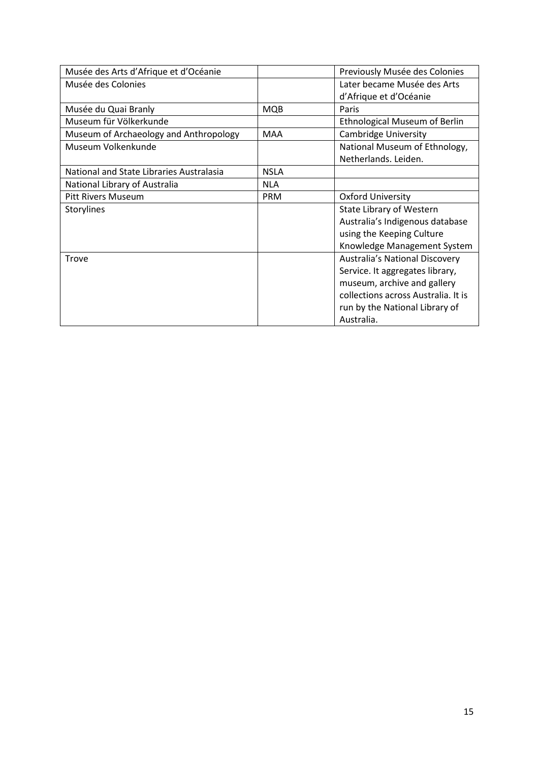| Musée des Arts d'Afrique et d'Océanie    |             | Previously Musée des Colonies        |
|------------------------------------------|-------------|--------------------------------------|
| Musée des Colonies                       |             | Later became Musée des Arts          |
|                                          |             | d'Afrique et d'Océanie               |
| Musée du Quai Branly                     | <b>MQB</b>  | Paris                                |
| Museum für Völkerkunde                   |             | <b>Ethnological Museum of Berlin</b> |
| Museum of Archaeology and Anthropology   | <b>MAA</b>  | <b>Cambridge University</b>          |
| Museum Volkenkunde                       |             | National Museum of Ethnology,        |
|                                          |             | Netherlands. Leiden.                 |
| National and State Libraries Australasia | <b>NSLA</b> |                                      |
| National Library of Australia            | <b>NLA</b>  |                                      |
| <b>Pitt Rivers Museum</b>                | <b>PRM</b>  | <b>Oxford University</b>             |
| Storylines                               |             | State Library of Western             |
|                                          |             | Australia's Indigenous database      |
|                                          |             | using the Keeping Culture            |
|                                          |             | Knowledge Management System          |
| <b>Trove</b>                             |             | Australia's National Discovery       |
|                                          |             | Service. It aggregates library,      |
|                                          |             | museum, archive and gallery          |
|                                          |             | collections across Australia. It is  |
|                                          |             | run by the National Library of       |
|                                          |             | Australia.                           |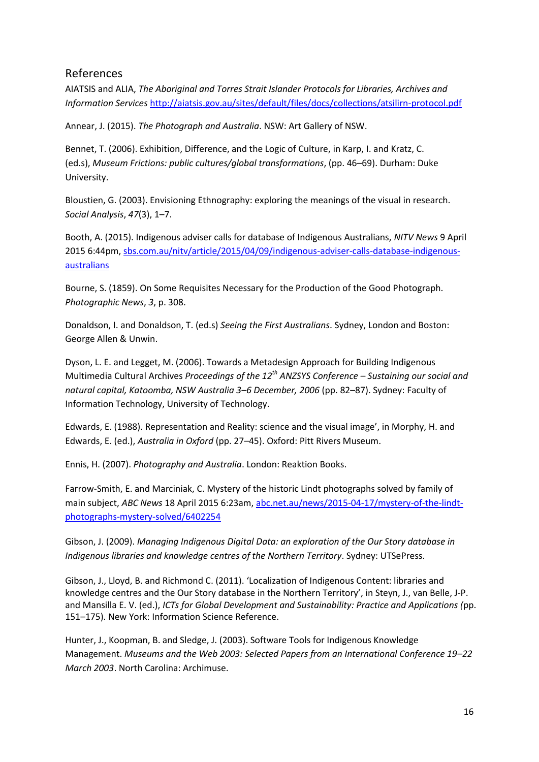#### References

AIATSIS and ALIA, *The Aboriginal and Torres Strait Islander Protocols for Libraries, Archives and Information Services* <http://aiatsis.gov.au/sites/default/files/docs/collections/atsilirn-protocol.pdf>

Annear, J. (2015). *The Photograph and Australia*. NSW: Art Gallery of NSW.

Bennet, T. (2006). Exhibition, Difference, and the Logic of Culture, in Karp, I. and Kratz, C. (ed.s), *Museum Frictions: public cultures/global transformations*, (pp. 46–69). Durham: Duke University.

Bloustien, G. (2003). Envisioning Ethnography: exploring the meanings of the visual in research. *Social Analysis*, *47*(3), 1–7.

Booth, A. (2015). Indigenous adviser calls for database of Indigenous Australians, *NITV News* 9 April 2015 6:44pm, [sbs.com.au/nitv/article/2015/04/09/indigenous-adviser-calls-database-indigenous](file:///C:/Users/kross/Dropbox/travelling%20fellowship/Reference/sbs.com.au/nitv/article/2015/04/09/indigenous-adviser-calls-database-indigenous-australians)[australians](file:///C:/Users/kross/Dropbox/travelling%20fellowship/Reference/sbs.com.au/nitv/article/2015/04/09/indigenous-adviser-calls-database-indigenous-australians)

Bourne, S. (1859). On Some Requisites Necessary for the Production of the Good Photograph. *Photographic News*, *3*, p. 308.

Donaldson, I. and Donaldson, T. (ed.s) *Seeing the First Australians*. Sydney, London and Boston: George Allen & Unwin.

Dyson, L. E. and Legget, M. (2006). Towards a Metadesign Approach for Building Indigenous Multimedia Cultural Archives *Proceedings of the 12th ANZSYS Conference – Sustaining our social and natural capital, Katoomba, NSW Australia 3–6 December, 2006* (pp. 82–87). Sydney: Faculty of Information Technology, University of Technology.

Edwards, E. (1988). Representation and Reality: science and the visual image', in Morphy, H. and Edwards, E. (ed.), *Australia in Oxford* (pp. 27–45). Oxford: Pitt Rivers Museum.

Ennis, H. (2007). *Photography and Australia*. London: Reaktion Books.

Farrow-Smith, E. and Marciniak, C. Mystery of the historic Lindt photographs solved by family of main subject, *ABC News* 18 April 2015 6:23am, [abc.net.au/news/2015-04-17/mystery-of-the-lindt](mailto:http://www.abc.net.au/news/2015-04-17/mystery-of-the-lindt-photographs-mystery-solved/6402254)[photographs-mystery-solved/6402254](mailto:http://www.abc.net.au/news/2015-04-17/mystery-of-the-lindt-photographs-mystery-solved/6402254)

Gibson, J. (2009). *Managing Indigenous Digital Data: an exploration of the Our Story database in Indigenous libraries and knowledge centres of the Northern Territory*. Sydney: UTSePress.

Gibson, J., Lloyd, B. and Richmond C. (2011). 'Localization of Indigenous Content: libraries and knowledge centres and the Our Story database in the Northern Territory', in Steyn, J., van Belle, J-P. and Mansilla E. V. (ed.), *ICTs for Global Development and Sustainability: Practice and Applications (*pp. 151–175). New York: Information Science Reference.

Hunter, J., Koopman, B. and Sledge, J. (2003). Software Tools for Indigenous Knowledge Management. *Museums and the Web 2003: Selected Papers from an International Conference 19–22 March 2003*. North Carolina: Archimuse.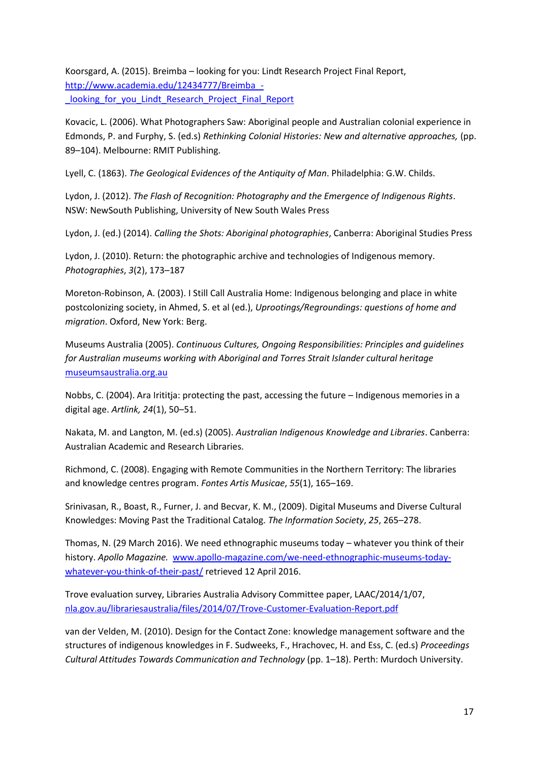Koorsgard, A. (2015). Breimba – looking for you: Lindt Research Project Final Report, [http://www.academia.edu/12434777/Breimba\\_](http://www.academia.edu/12434777/Breimba_-_looking_for_you_Lindt_Research_Project_Final_Report) looking for you Lindt Research Project Final Report

Kovacic, L. (2006). What Photographers Saw: Aboriginal people and Australian colonial experience in Edmonds, P. and Furphy, S. (ed.s) *Rethinking Colonial Histories: New and alternative approaches,* (pp. 89–104). Melbourne: RMIT Publishing.

Lyell, C. (1863). *The Geological Evidences of the Antiquity of Man*. Philadelphia: G.W. Childs.

Lydon, J. (2012). *The Flash of Recognition: Photography and the Emergence of Indigenous Rights*. NSW: NewSouth Publishing, University of New South Wales Press

Lydon, J. (ed.) (2014). *Calling the Shots: Aboriginal photographies*, Canberra: Aboriginal Studies Press

Lydon, J. (2010). Return: the photographic archive and technologies of Indigenous memory. *Photographies*, *3*(2), 173–187

Moreton-Robinson, A. (2003). I Still Call Australia Home: Indigenous belonging and place in white postcolonizing society, in Ahmed, S. et al (ed.), *Uprootings/Regroundings: questions of home and migration*. Oxford, New York: Berg.

Museums Australia (2005). *Continuous Cultures, Ongoing Responsibilities: Principles and guidelines for Australian museums working with Aboriginal and Torres Strait Islander cultural heritage*  [museumsaustralia.org.au](file:///C:/Users/kross/Dropbox/travelling%20fellowship/Reference/museumsaustralia.org.au)

Nobbs, C. (2004). Ara Irititja: protecting the past, accessing the future – Indigenous memories in a digital age. *Artlink, 24*(1), 50–51.

Nakata, M. and Langton, M. (ed.s) (2005). *Australian Indigenous Knowledge and Libraries*. Canberra: Australian Academic and Research Libraries.

Richmond, C. (2008). Engaging with Remote Communities in the Northern Territory: The libraries and knowledge centres program. *Fontes Artis Musicae*, *55*(1), 165–169.

Srinivasan, R., Boast, R., Furner, J. and Becvar, K. M., (2009). Digital Museums and Diverse Cultural Knowledges: Moving Past the Traditional Catalog. *The Information Society*, *25*, 265–278.

Thomas, N. (29 March 2016). We need ethnographic museums today – whatever you think of their history. *Apollo Magazine.* [www.apollo-magazine.com/we-need-ethnographic-museums-today](http://www.apollo-magazine.com/we-need-ethnographic-museums-today-whatever-you-think-of-their-past/)[whatever-you-think-of-their-past/](http://www.apollo-magazine.com/we-need-ethnographic-museums-today-whatever-you-think-of-their-past/) retrieved 12 April 2016.

Trove evaluation survey, Libraries Australia Advisory Committee paper, LAAC/2014/1/07, [nla.gov.au/librariesaustralia/files/2014/07/Trove-Customer-Evaluation-Report.pdf](mailto:http://www.nla.gov.au/librariesaustralia/files/2014/07/Trove-Customer-Evaluation-Report.pdf)

van der Velden, M. (2010). Design for the Contact Zone: knowledge management software and the structures of indigenous knowledges in F. Sudweeks, F., Hrachovec, H. and Ess, C. (ed.s) *Proceedings Cultural Attitudes Towards Communication and Technology* (pp. 1–18). Perth: Murdoch University.